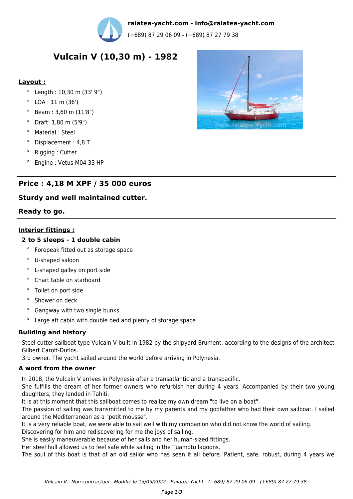

**raiatea-yacht.com - info@raiatea-yacht.com**

(+689) 87 29 06 09 - (+689) 87 27 79 38

# **Vulcain V (10,30 m) - 1982**

### **Layout :**

- ° Length : 10,30 m (33' 9")
- ° LOA : 11 m (36')
- ° Beam : 3,60 m (11'8")
- ° Draft: 1,80 m (5'9")
- ° Material : Steel
- ° Displacement : 4,8 T
- ° Rigging : Cutter
- Engine : Vetus M04 33 HP

## **Price : 4,18 M XPF / 35 000 euros**

## **Sturdy and well maintained cutter.**

#### **Ready to go.**

#### **Interior fittings :**

#### **2 to 5 sleeps - 1 double cabin**

- ° Forepeak fitted out as storage space
- ° U-shaped saloon
- ° L-shaped galley on port side
- ° Chart table on starboard
- ° Toilet on port side
- ° Shower on deck
- ° Gangway with two single bunks
- Large aft cabin with double bed and plenty of storage space

#### **Building and history**

Steel cutter sailboat type Vulcain V built in 1982 by the shipyard Brument, according to the designs of the architect Gilbert Caroff-Duflos.

3rd owner. The yacht sailed around the world before arriving in Polynesia.

#### **A word from the owner**

In 2018, the Vulcain V arrives in Polynesia after a transatlantic and a transpacific.

She fulfills the dream of her former owners who refurbish her during 4 years. Accompanied by their two young daughters, they landed in Tahiti.

It is at this moment that this sailboat comes to realize my own dream "to live on a boat".

The passion of sailing was transmitted to me by my parents and my godfather who had their own sailboat. I sailed around the Mediterranean as a "petit mousse".

It is a very reliable boat, we were able to sail well with my companion who did not know the world of sailing.

Discovering for him and rediscovering for me the joys of sailing.

She is easily maneuverable because of her sails and her human-sized fittings.

Her steel hull allowed us to feel safe while sailing in the Tuamotu lagoons.

The soul of this boat is that of an old sailor who has seen it all before. Patient, safe, robust, during 4 years we

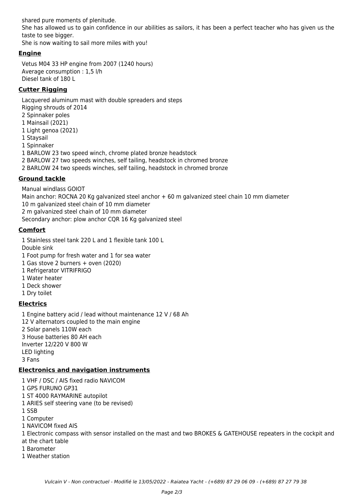shared pure moments of plenitude. She has allowed us to gain confidence in our abilities as sailors, it has been a perfect teacher who has given us the taste to see bigger.

She is now waiting to sail more miles with you!

## **Engine**

Vetus M04 33 HP engine from 2007 (1240 hours) Average consumption : 1,5 l/h Diesel tank of 180 L

## **Cutter Rigging**

Lacquered aluminum mast with double spreaders and steps Rigging shrouds of 2014 2 Spinnaker poles 1 Mainsail (2021) 1 Light genoa (2021) 1 Staysail 1 Spinnaker 1 BARLOW 23 two speed winch, chrome plated bronze headstock 2 BARLOW 27 two speeds winches, self tailing, headstock in chromed bronze 2 BARLOW 24 two speeds winches, self tailing, headstock in chromed bronze **Ground tackle**

Manual windlass GOIOT Main anchor: ROCNA 20 Kg galvanized steel anchor + 60 m galvanized steel chain 10 mm diameter 10 m galvanized steel chain of 10 mm diameter 2 m galvanized steel chain of 10 mm diameter Secondary anchor: plow anchor CQR 16 Kg galvanized steel

**Comfort**

1 Stainless steel tank 220 L and 1 flexible tank 100 L

Double sink

1 Foot pump for fresh water and 1 for sea water

- 1 Gas stove 2 burners + oven (2020)
- 1 Refrigerator VITRIFRIGO
- 1 Water heater
- 1 Deck shower
- 1 Dry toilet

## **Electrics**

1 Engine battery acid / lead without maintenance 12 V / 68 Ah 12 V alternators coupled to the main engine 2 Solar panels 110W each 3 House batteries 80 AH each Inverter 12/220 V 800 W LED lighting 3 Fans

## **Electronics and navigation instruments**

1 VHF / DSC / AIS fixed radio NAVICOM 1 GPS FURUNO GP31 1 ST 4000 RAYMARINE autopilot 1 ARIES self steering vane (to be revised) 1 SSB 1 Computer 1 NAVICOM fixed AIS 1 Electronic compass with sensor installed on the mast and two BROKES & GATEHOUSE repeaters in the cockpit and at the chart table 1 Barometer 1 Weather station